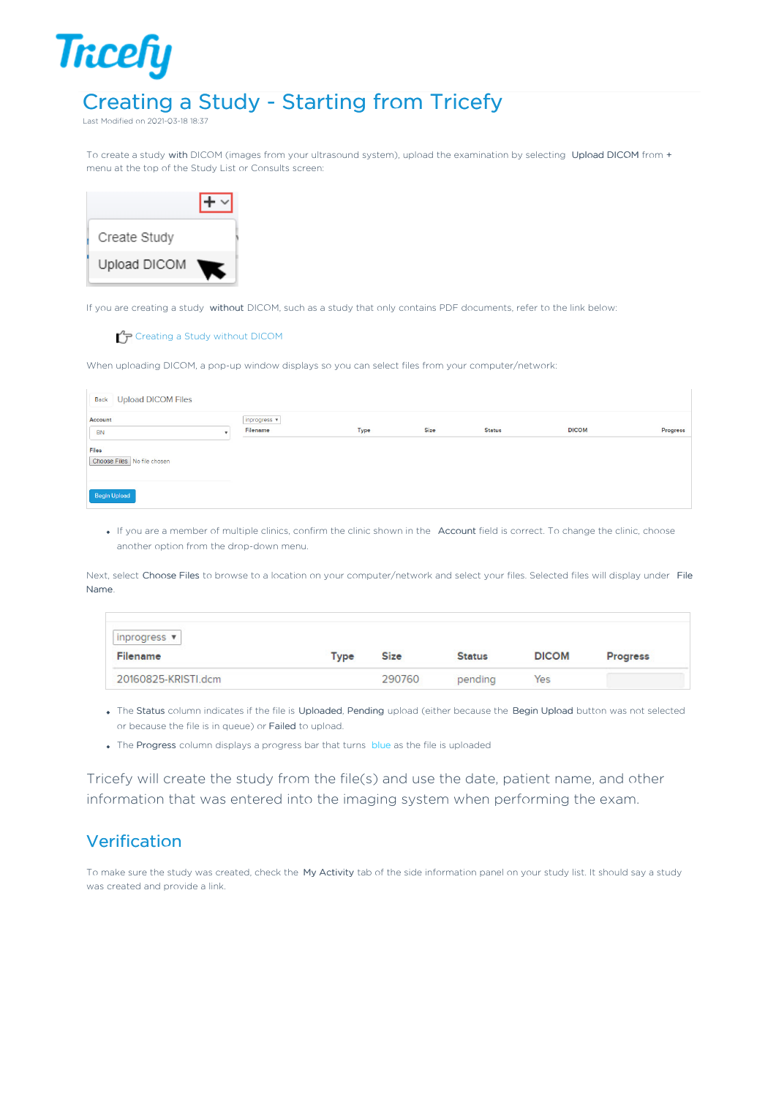## Creating a Study - Starting from Tricefy

Last Modified on 2021-03-18 18:37

**Tricefy** 

To create a study with DICOM (images from your ultrasound system), upload the examination by selecting Upload DICOM from + menu at the top of the Study List or Consults screen:



If you are creating a study without DICOM, such as a study that only contains PDF documents, refer to the link below:

## Creating a Study without DICOM

When uploading DICOM, a pop-up window displays so you can select files from your computer/network:

| <b>Back</b> Upload DICOM Files       |                          |      |      |               |              |          |
|--------------------------------------|--------------------------|------|------|---------------|--------------|----------|
| Account<br><b>BN</b>                 | inprogress v<br>Filename | Type | Size | <b>Status</b> | <b>DICOM</b> | Progress |
| Files<br>Choose Files No file chosen |                          |      |      |               |              |          |
| Begin Upload                         |                          |      |      |               |              |          |

If you are a member of multiple clinics, confirm the clinic shown in the Account field is correct. To change the clinic, choose another option from the drop-down menu.

Next, select Choose Files to browse to a location on your computer/network and select your files. Selected files will display under File Name.

| inprogress $\mathbf{v}$ |             |             |               |              |                 |
|-------------------------|-------------|-------------|---------------|--------------|-----------------|
| Filename                | <b>Type</b> | <b>Size</b> | <b>Status</b> | <b>DICOM</b> | <b>Progress</b> |
| 20160825-KRISTI.dcm     |             | 290760      | pending       | Yes          |                 |

- . The Status column indicates if the file is Uploaded, Pending upload (either because the Begin Upload button was not selected or because the file is in queue) or Failed to upload.
- The Progress column displays a progress bar that turns blue as the file is uploaded

Tricefy will create the study from the file(s) and use the date, patient name, and other information that was entered into the imaging system when performing the exam.

## Verification

To make sure the study was created, check the My Activity tab of the side information panel on your study list. It should say a study was created and provide a link.